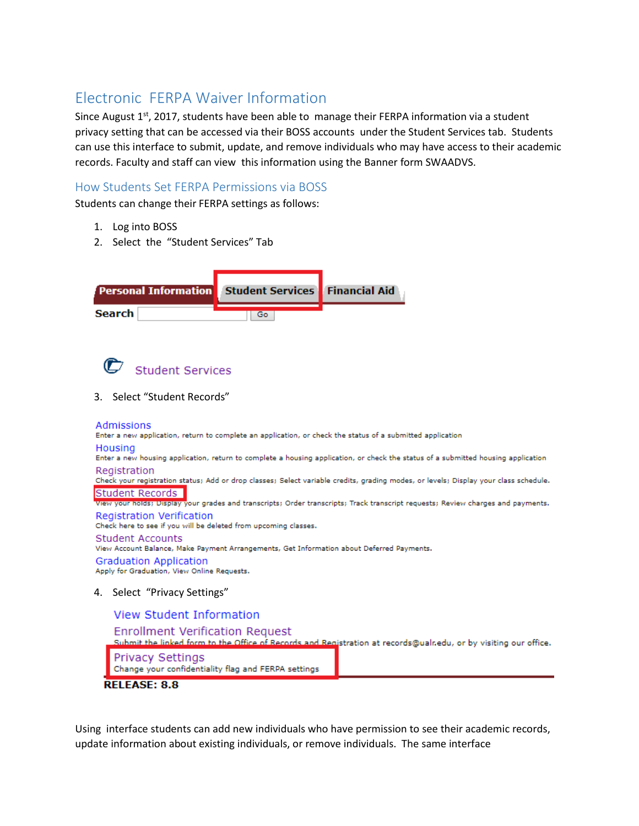# Electronic FERPA Waiver Information

Since August  $1<sup>st</sup>$ , 2017, students have been able to manage their FERPA information via a student privacy setting that can be accessed via their BOSS accounts under the Student Services tab. Students can use this interface to submit, update, and remove individuals who may have access to their academic records. Faculty and staff can view this information using the Banner form SWAADVS.

## How Students Set FERPA Permissions via BOSS

Students can change their FERPA settings as follows:

- 1. Log into BOSS
- 2. Select the "Student Services" Tab



**Student Services** 

3. Select "Student Records"

Admissions

Enter a new application, return to complete an application, or check the status of a submitted application

Housing

Enter a new housing application, return to complete a housing application, or check the status of a submitted housing application Registration

Check your registration status; Add or drop classes; Select variable credits, grading modes, or levels; Display your class schedule. Student Records

View your holds; Display your grades and transcripts; Order transcripts; Track transcript requests; Review charges and payments.

Registration Verification Check here to see if you will be deleted from upcoming classes.

### Student Accounts

View Account Balance, Make Payment Arrangements, Get Information about Deferred Payments.

#### **Graduation Application**

Apply for Graduation, View Online Requests.

4. Select "Privacy Settings"

### **View Student Information**

### **Enrollment Verification Request**

Submit the linked form to the Office of Records and Registration at records@ualnedu, or by visiting our office.

Privacy Settings

Change your confidentiality flag and FERPA settings

**RELEASE: 8.8** 

Using interface students can add new individuals who have permission to see their academic records, update information about existing individuals, or remove individuals. The same interface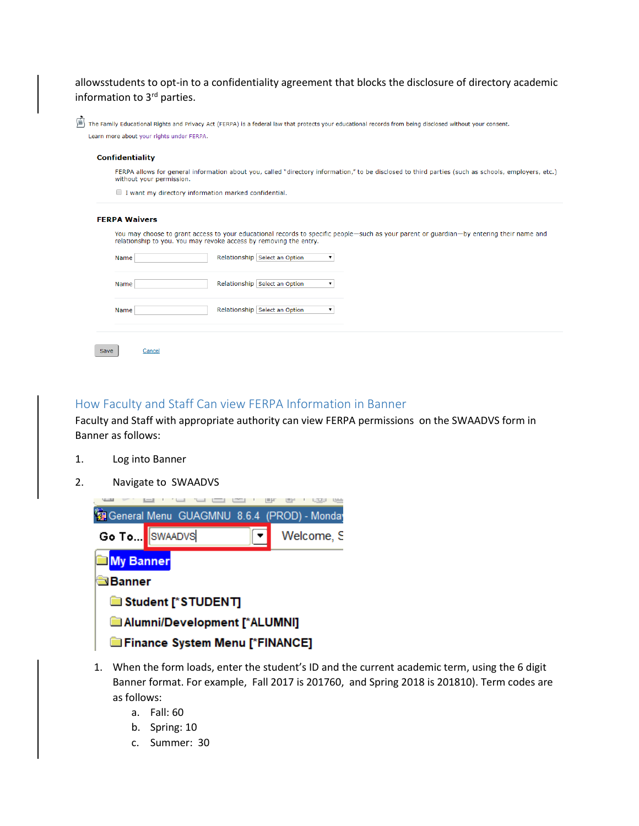allowsstudents to opt-in to a confidentiality agreement that blocks the disclosure of directory academic information to 3rd parties.

| The Family Educational Rights and Privacy Act (FERPA) is a federal law that protects your educational records from being disclosed without your consent. |
|----------------------------------------------------------------------------------------------------------------------------------------------------------|
| Learn more about your rights under FERPA.                                                                                                                |

#### **Confidentiality**

 $\rightarrow$ 

FERPA allows for general information about you, called "directory information," to be disclosed to third parties (such as schools, employers, etc.) without your permission.

I want my directory information marked confidential.

#### **FERPA Waivers**

You may choose to grant access to your educational records to specific people-such as your parent or guardian-by entering their name and relationship to you. You may revoke access by removing the entry.

| Name |        | Relationship Select an Option |  |
|------|--------|-------------------------------|--|
| Name |        | Relationship Select an Option |  |
| Name |        | Relationship Select an Option |  |
| Save | Cancel |                               |  |

How Faculty and Staff Can view FERPA Information in Banner

Faculty and Staff with appropriate authority can view FERPA permissions on the SWAADVS form in Banner as follows:

- 1. Log into Banner
- 2. Navigate to SWAADVS



- 1. When the form loads, enter the student's ID and the current academic term, using the 6 digit Banner format. For example, Fall 2017 is 201760, and Spring 2018 is 201810). Term codes are as follows:
	- a. Fall: 60
	- b. Spring: 10
	- c. Summer: 30